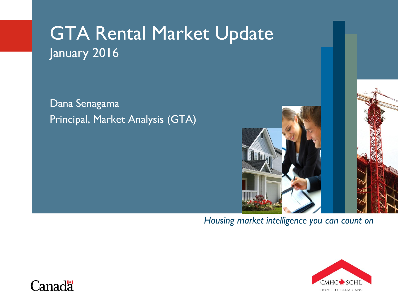# GTA Rental Market Update January 2016

Dana Senagama Principal, Market Analysis (GTA)



#### *Housing market intelligence you can count on*



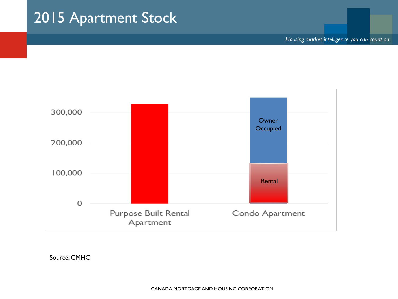### 2015 Apartment Stock

*Housing market intelligence you can count on*

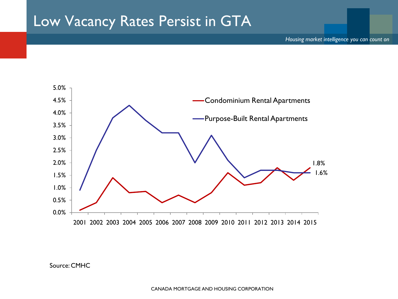#### Low Vacancy Rates Persist in GTA

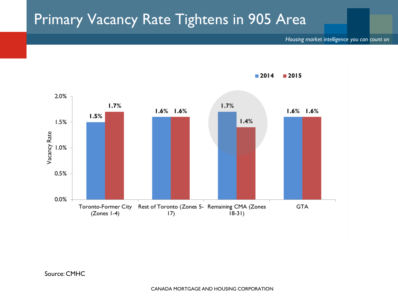#### Primary Vacancy Rate Tightens in 905 Area



 $2014$  $2015$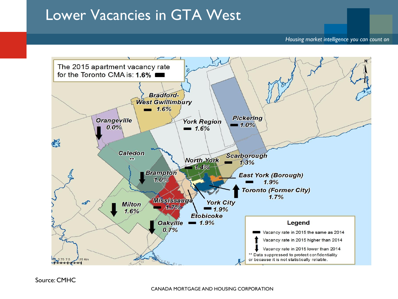#### Lower Vacancies in GTA West

#### *Housing market intelligence you can count on*

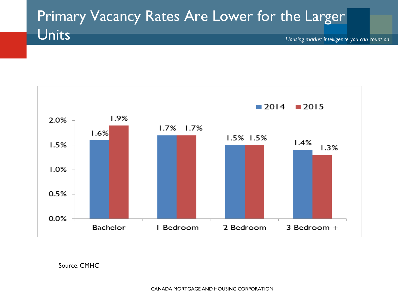## Primary Vacancy Rates Are Lower for the Larger Units





Source: CMHC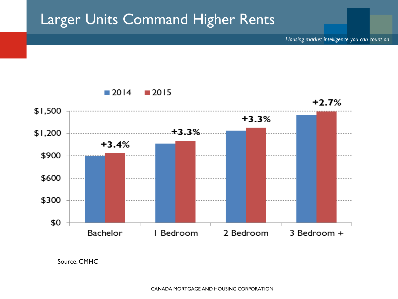### Larger Units Command Higher Rents



Source: CMHC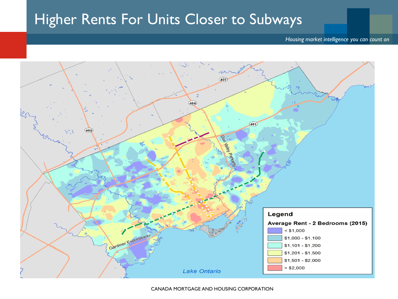#### Higher Rents For Units Closer to Subways

#### *Housing market intelligence you can count on*

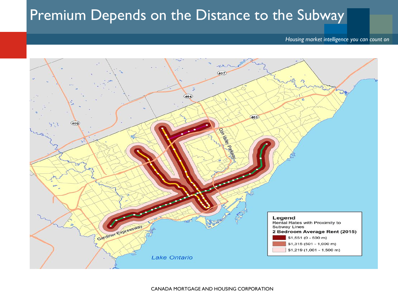#### Premium Depends on the Distance to the Subway

#### *Housing market intelligence you can count on*

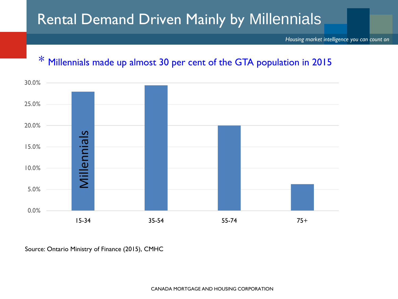### Rental Demand Driven Mainly by Millennials

*Housing market intelligence you can count on*

#### \* Millennials made up almost 30 per cent of the GTA population in 2015

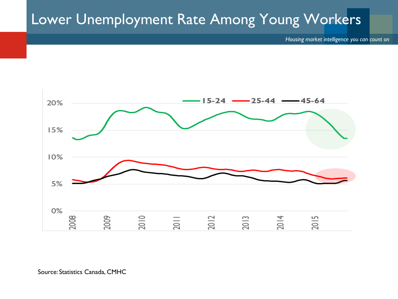### Lower Unemployment Rate Among Young Workers

*Housing market intelligence you can count on*



Source: Statistics Canada, CMHC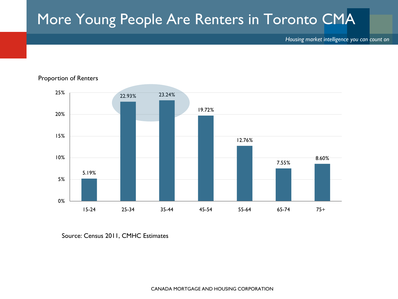## More Young People Are Renters in Toronto CMA

*Housing market intelligence you can count on*



Proportion of Renters

Source: Census 2011, CMHC Estimates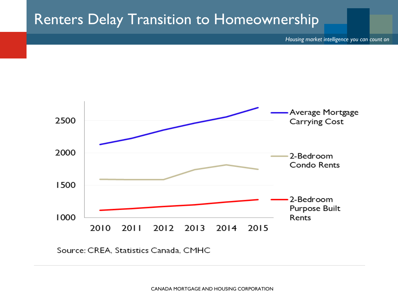#### Renters Delay Transition to Homeownership

*Housing market intelligence you can count on*



Source: CREA, Statistics Canada, CMHC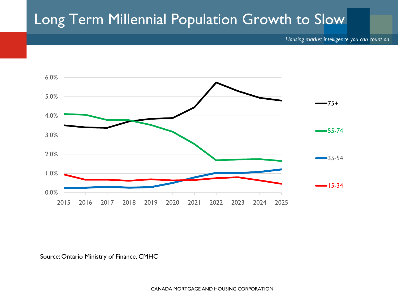### Long Term Millennial Population Growth to Slow

*Housing market intelligence you can count on*



#### Source: Ontario Ministry of Finance, CMHC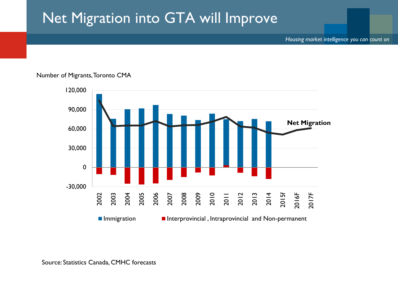### Net Migration into GTA will Improve

*Housing market intelligence you can count on*



#### Number of Migrants, Toronto CMA

Source: Statistics Canada, CMHC forecasts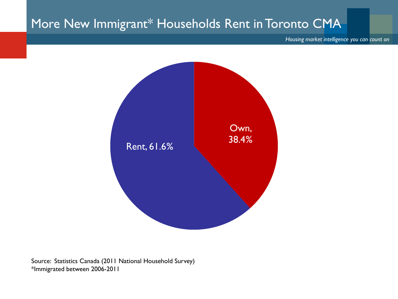#### More New Immigrant\* Households Rent in Toronto CMA

*Housing market intelligence you can count on*



Source: Statistics Canada (2011 National Household Survey) \*Immigrated between 2006-2011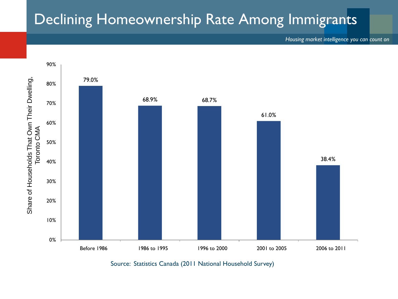### Declining Homeownership Rate Among Immigrants

*Housing market intelligence you can count on*



Source: Statistics Canada (2011 National Household Survey)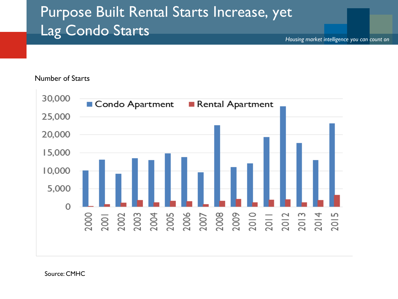## Purpose Built Rental Starts Increase, yet Lag Condo Starts

*Housing market intelligence you can count on*

#### Number of Starts

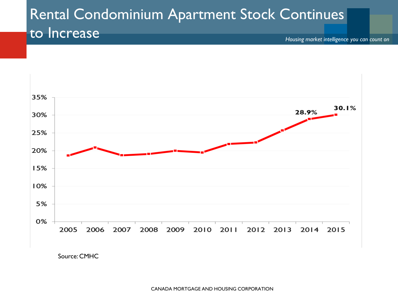#### Rental Condominium Apartment Stock Continues to Increase

*Housing market intelligence you can count on*



Source: CMHC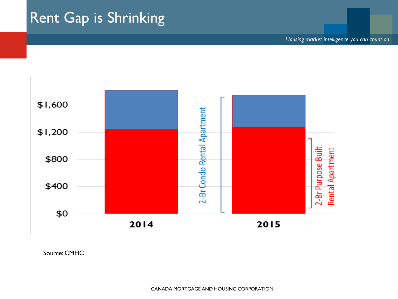## Rent Gap is Shrinking

*Housing market intelligence you can count on*

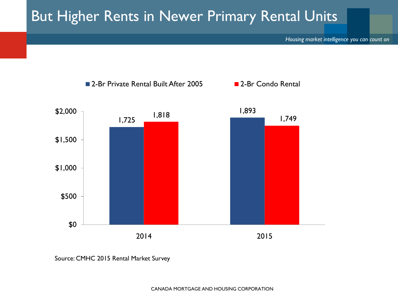### But Higher Rents in Newer Primary Rental Units

*Housing market intelligence you can count on*



Source: CMHC 2015 Rental Market Survey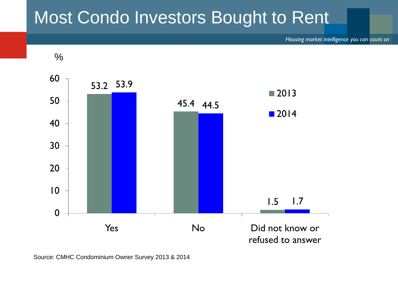# Most Condo Investors Bought to Rent

*Housing market intelligence you can count on*



Source: CMHC Condominium Owner Survey 2013 & 2014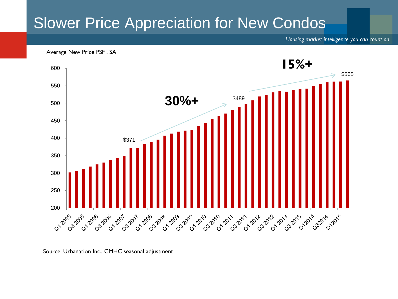### Slower Price Appreciation for New Condos

*Housing market intelligence you can count on*

Average New Price PSF , SA



Source: Urbanation Inc., CMHC seasonal adjustment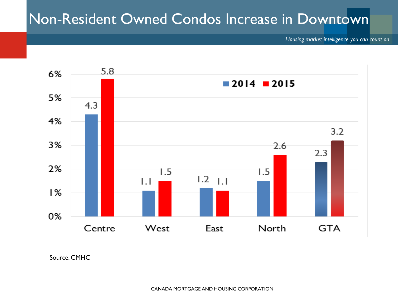### Non-Resident Owned Condos Increase in Downtown

*Housing market intelligence you can count on*



Source: CMHC